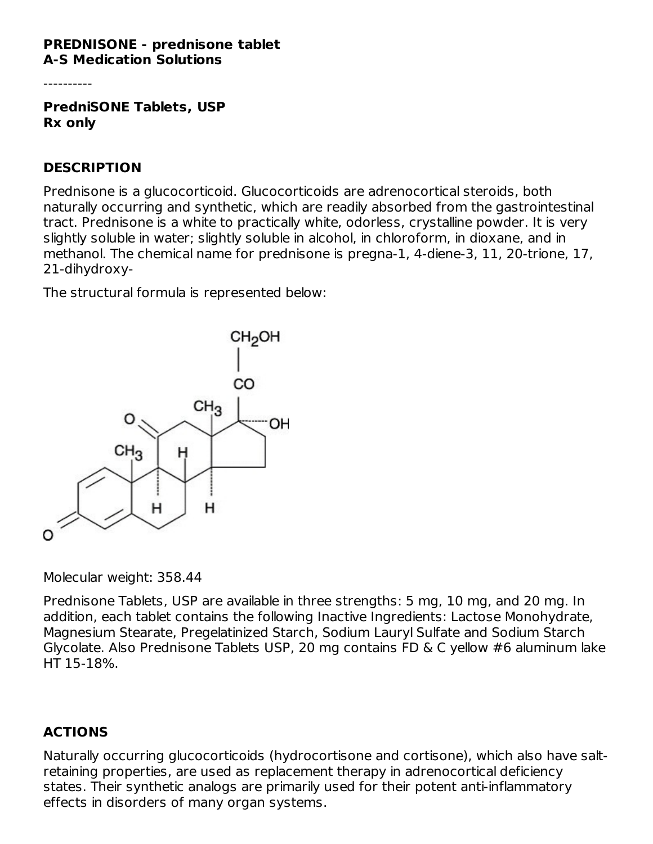#### **PREDNISONE - prednisone tablet A-S Medication Solutions**

----------

**PredniSONE Tablets, USP Rx only**

### **DESCRIPTION**

Prednisone is a glucocorticoid. Glucocorticoids are adrenocortical steroids, both naturally occurring and synthetic, which are readily absorbed from the gastrointestinal tract. Prednisone is a white to practically white, odorless, crystalline powder. It is very slightly soluble in water; slightly soluble in alcohol, in chloroform, in dioxane, and in methanol. The chemical name for prednisone is pregna-1, 4-diene-3, 11, 20-trione, 17, 21-dihydroxy-

The structural formula is represented below:



Molecular weight: 358.44

Prednisone Tablets, USP are available in three strengths: 5 mg, 10 mg, and 20 mg. In addition, each tablet contains the following Inactive Ingredients: Lactose Monohydrate, Magnesium Stearate, Pregelatinized Starch, Sodium Lauryl Sulfate and Sodium Starch Glycolate. Also Prednisone Tablets USP, 20 mg contains FD & C yellow #6 aluminum lake HT 15-18%.

### **ACTIONS**

Naturally occurring glucocorticoids (hydrocortisone and cortisone), which also have saltretaining properties, are used as replacement therapy in adrenocortical deficiency states. Their synthetic analogs are primarily used for their potent anti-inflammatory effects in disorders of many organ systems.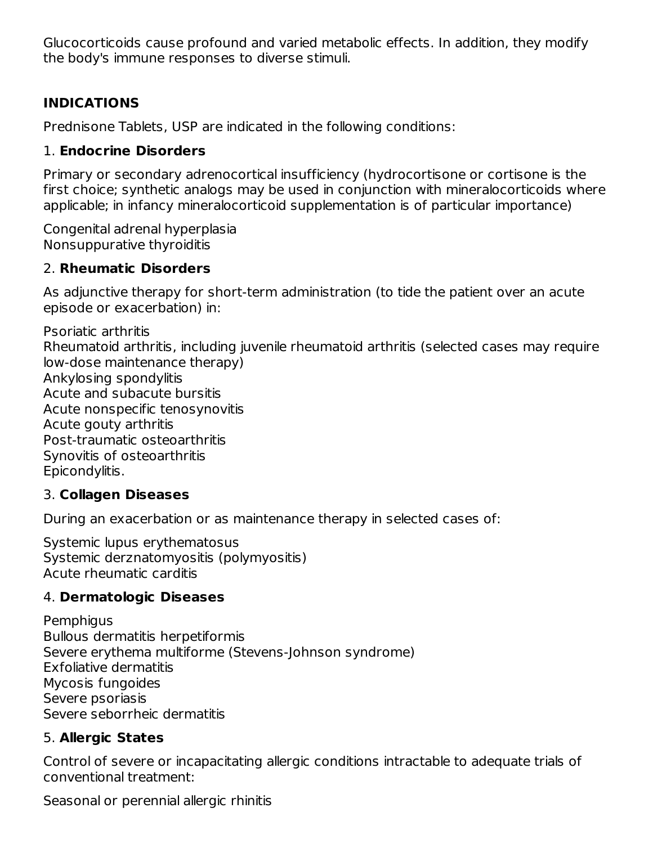Glucocorticoids cause profound and varied metabolic effects. In addition, they modify the body's immune responses to diverse stimuli.

## **INDICATIONS**

Prednisone Tablets, USP are indicated in the following conditions:

## 1. **Endocrine Disorders**

Primary or secondary adrenocortical insufficiency (hydrocortisone or cortisone is the first choice; synthetic analogs may be used in conjunction with mineralocorticoids where applicable; in infancy mineralocorticoid supplementation is of particular importance)

Congenital adrenal hyperplasia Nonsuppurative thyroiditis

## 2. **Rheumatic Disorders**

As adjunctive therapy for short-term administration (to tide the patient over an acute episode or exacerbation) in:

Psoriatic arthritis Rheumatoid arthritis, including juvenile rheumatoid arthritis (selected cases may require low-dose maintenance therapy) Ankylosing spondylitis Acute and subacute bursitis Acute nonspecific tenosynovitis Acute gouty arthritis Post-traumatic osteoarthritis Synovitis of osteoarthritis Epicondylitis.

## 3. **Collagen Diseases**

During an exacerbation or as maintenance therapy in selected cases of:

Systemic lupus erythematosus Systemic derznatomyositis (polymyositis) Acute rheumatic carditis

## 4. **Dermatologic Diseases**

Pemphigus Bullous dermatitis herpetiformis Severe erythema multiforme (Stevens-Johnson syndrome) Exfoliative dermatitis Mycosis fungoides Severe psoriasis Severe seborrheic dermatitis

## 5. **Allergic States**

Control of severe or incapacitating allergic conditions intractable to adequate trials of conventional treatment:

Seasonal or perennial allergic rhinitis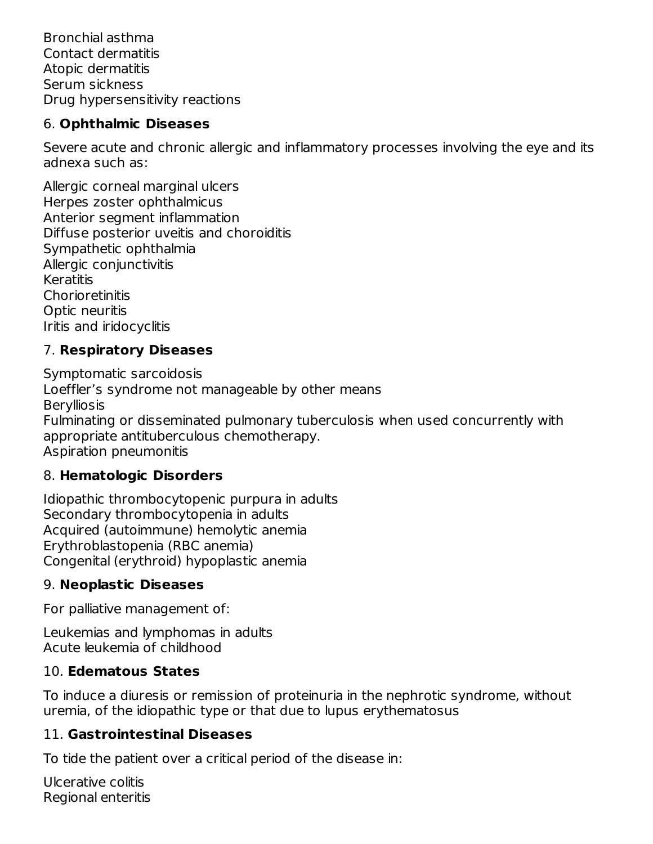Bronchial asthma Contact dermatitis Atopic dermatitis Serum sickness Drug hypersensitivity reactions

### 6. **Ophthalmic Diseases**

Severe acute and chronic allergic and inflammatory processes involving the eye and its adnexa such as:

Allergic corneal marginal ulcers Herpes zoster ophthalmicus Anterior segment inflammation Diffuse posterior uveitis and choroiditis Sympathetic ophthalmia Allergic conjunctivitis **Keratitis** Chorioretinitis Optic neuritis Iritis and iridocyclitis

## 7. **Respiratory Diseases**

Symptomatic sarcoidosis Loeffler's syndrome not manageable by other means **Berylliosis** Fulminating or disseminated pulmonary tuberculosis when used concurrently with appropriate antituberculous chemotherapy. Aspiration pneumonitis

## 8. **Hematologic Disorders**

Idiopathic thrombocytopenic purpura in adults Secondary thrombocytopenia in adults Acquired (autoimmune) hemolytic anemia Erythroblastopenia (RBC anemia) Congenital (erythroid) hypoplastic anemia

## 9. **Neoplastic Diseases**

For palliative management of:

Leukemias and lymphomas in adults Acute leukemia of childhood

### 10. **Edematous States**

To induce a diuresis or remission of proteinuria in the nephrotic syndrome, without uremia, of the idiopathic type or that due to lupus erythematosus

### 11. **Gastrointestinal Diseases**

To tide the patient over a critical period of the disease in:

Ulcerative colitis Regional enteritis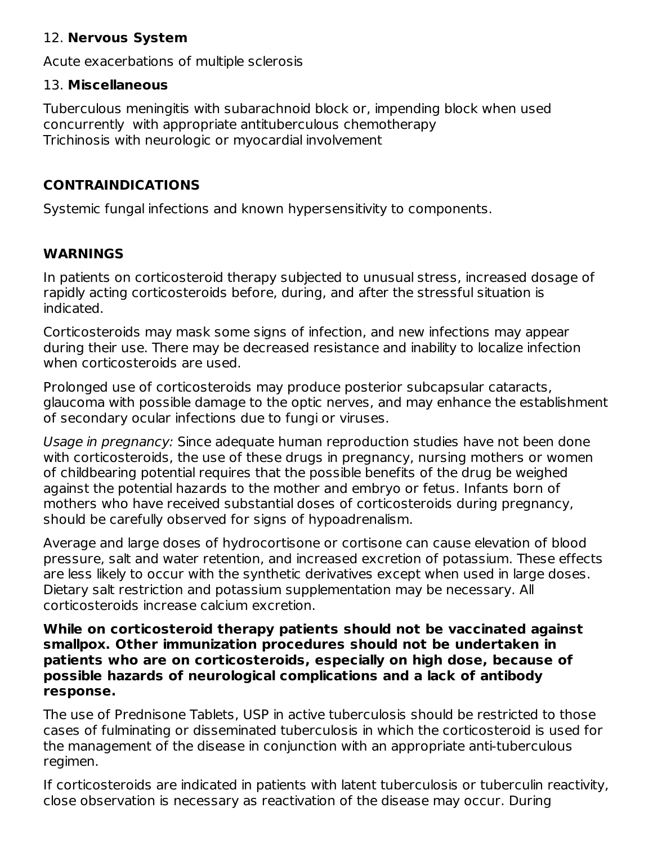### 12. **Nervous System**

Acute exacerbations of multiple sclerosis

### 13. **Miscellaneous**

Tuberculous meningitis with subarachnoid block or, impending block when used concurrently with appropriate antituberculous chemotherapy Trichinosis with neurologic or myocardial involvement

## **CONTRAINDICATIONS**

Systemic fungal infections and known hypersensitivity to components.

## **WARNINGS**

In patients on corticosteroid therapy subjected to unusual stress, increased dosage of rapidly acting corticosteroids before, during, and after the stressful situation is indicated.

Corticosteroids may mask some signs of infection, and new infections may appear during their use. There may be decreased resistance and inability to localize infection when corticosteroids are used.

Prolonged use of corticosteroids may produce posterior subcapsular cataracts, glaucoma with possible damage to the optic nerves, and may enhance the establishment of secondary ocular infections due to fungi or viruses.

Usage in pregnancy: Since adequate human reproduction studies have not been done with corticosteroids, the use of these drugs in pregnancy, nursing mothers or women of childbearing potential requires that the possible benefits of the drug be weighed against the potential hazards to the mother and embryo or fetus. Infants born of mothers who have received substantial doses of corticosteroids during pregnancy, should be carefully observed for signs of hypoadrenalism.

Average and large doses of hydrocortisone or cortisone can cause elevation of blood pressure, salt and water retention, and increased excretion of potassium. These effects are less likely to occur with the synthetic derivatives except when used in large doses. Dietary salt restriction and potassium supplementation may be necessary. All corticosteroids increase calcium excretion.

#### **While on corticosteroid therapy patients should not be vaccinated against smallpox. Other immunization procedures should not be undertaken in patients who are on corticosteroids, especially on high dose, because of possible hazards of neurological complications and a lack of antibody response.**

The use of Prednisone Tablets, USP in active tuberculosis should be restricted to those cases of fulminating or disseminated tuberculosis in which the corticosteroid is used for the management of the disease in conjunction with an appropriate anti-tuberculous regimen.

If corticosteroids are indicated in patients with latent tuberculosis or tuberculin reactivity, close observation is necessary as reactivation of the disease may occur. During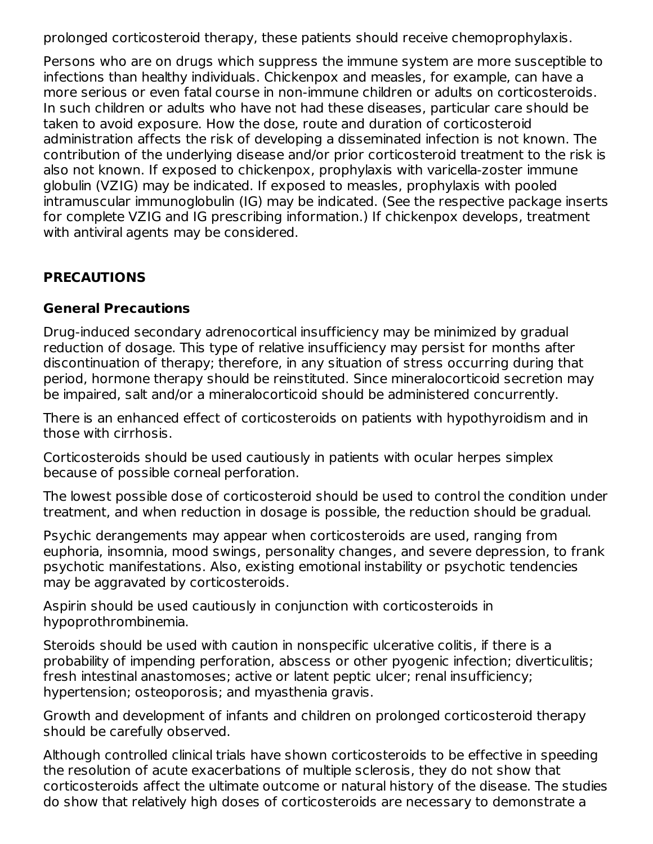prolonged corticosteroid therapy, these patients should receive chemoprophylaxis.

Persons who are on drugs which suppress the immune system are more susceptible to infections than healthy individuals. Chickenpox and measles, for example, can have a more serious or even fatal course in non-immune children or adults on corticosteroids. In such children or adults who have not had these diseases, particular care should be taken to avoid exposure. How the dose, route and duration of corticosteroid administration affects the risk of developing a disseminated infection is not known. The contribution of the underlying disease and/or prior corticosteroid treatment to the risk is also not known. If exposed to chickenpox, prophylaxis with varicella-zoster immune globulin (VZIG) may be indicated. If exposed to measles, prophylaxis with pooled intramuscular immunoglobulin (IG) may be indicated. (See the respective package inserts for complete VZIG and IG prescribing information.) If chickenpox develops, treatment with antiviral agents may be considered.

# **PRECAUTIONS**

## **General Precautions**

Drug-induced secondary adrenocortical insufficiency may be minimized by gradual reduction of dosage. This type of relative insufficiency may persist for months after discontinuation of therapy; therefore, in any situation of stress occurring during that period, hormone therapy should be reinstituted. Since mineralocorticoid secretion may be impaired, salt and/or a mineralocorticoid should be administered concurrently.

There is an enhanced effect of corticosteroids on patients with hypothyroidism and in those with cirrhosis.

Corticosteroids should be used cautiously in patients with ocular herpes simplex because of possible corneal perforation.

The lowest possible dose of corticosteroid should be used to control the condition under treatment, and when reduction in dosage is possible, the reduction should be gradual.

Psychic derangements may appear when corticosteroids are used, ranging from euphoria, insomnia, mood swings, personality changes, and severe depression, to frank psychotic manifestations. Also, existing emotional instability or psychotic tendencies may be aggravated by corticosteroids.

Aspirin should be used cautiously in conjunction with corticosteroids in hypoprothrombinemia.

Steroids should be used with caution in nonspecific ulcerative colitis, if there is a probability of impending perforation, abscess or other pyogenic infection; diverticulitis; fresh intestinal anastomoses; active or latent peptic ulcer; renal insufficiency; hypertension; osteoporosis; and myasthenia gravis.

Growth and development of infants and children on prolonged corticosteroid therapy should be carefully observed.

Although controlled clinical trials have shown corticosteroids to be effective in speeding the resolution of acute exacerbations of multiple sclerosis, they do not show that corticosteroids affect the ultimate outcome or natural history of the disease. The studies do show that relatively high doses of corticosteroids are necessary to demonstrate a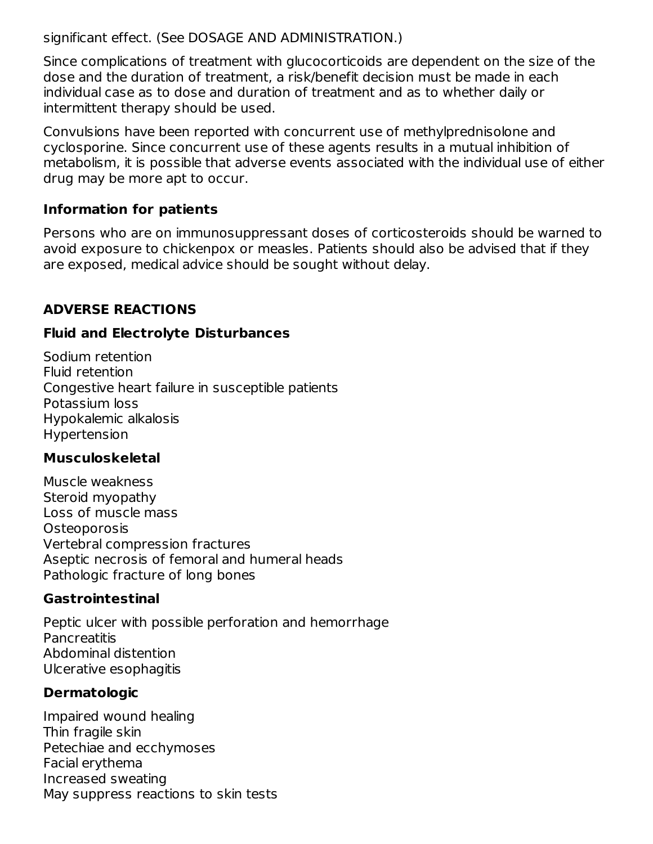significant effect. (See DOSAGE AND ADMINISTRATION.)

Since complications of treatment with glucocorticoids are dependent on the size of the dose and the duration of treatment, a risk/benefit decision must be made in each individual case as to dose and duration of treatment and as to whether daily or intermittent therapy should be used.

Convulsions have been reported with concurrent use of methylprednisolone and cyclosporine. Since concurrent use of these agents results in a mutual inhibition of metabolism, it is possible that adverse events associated with the individual use of either drug may be more apt to occur.

### **Information for patients**

Persons who are on immunosuppressant doses of corticosteroids should be warned to avoid exposure to chickenpox or measles. Patients should also be advised that if they are exposed, medical advice should be sought without delay.

## **ADVERSE REACTIONS**

## **Fluid and Electrolyte Disturbances**

Sodium retention Fluid retention Congestive heart failure in susceptible patients Potassium loss Hypokalemic alkalosis Hypertension

### **Musculoskeletal**

Muscle weakness Steroid myopathy Loss of muscle mass **Osteoporosis** Vertebral compression fractures Aseptic necrosis of femoral and humeral heads Pathologic fracture of long bones

### **Gastrointestinal**

Peptic ulcer with possible perforation and hemorrhage **Pancreatitis** Abdominal distention Ulcerative esophagitis

### **Dermatologic**

Impaired wound healing Thin fragile skin Petechiae and ecchymoses Facial erythema Increased sweating May suppress reactions to skin tests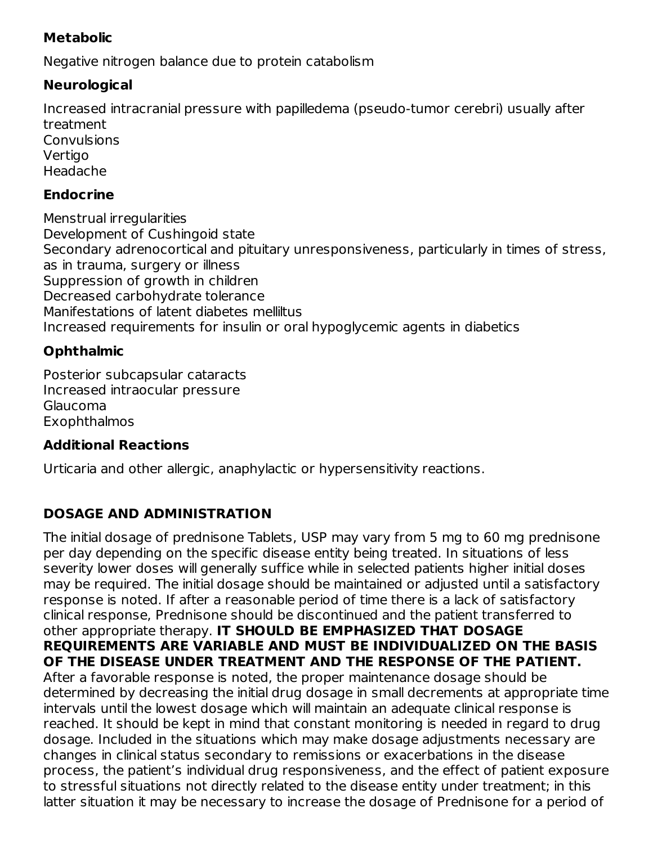## **Metabolic**

Negative nitrogen balance due to protein catabolism

## **Neurological**

Increased intracranial pressure with papilledema (pseudo-tumor cerebri) usually after treatment **Convulsions** Vertigo Headache

## **Endocrine**

Menstrual irregularities Development of Cushingoid state Secondary adrenocortical and pituitary unresponsiveness, particularly in times of stress, as in trauma, surgery or illness Suppression of growth in children Decreased carbohydrate tolerance Manifestations of latent diabetes melliltus Increased requirements for insulin or oral hypoglycemic agents in diabetics

# **Ophthalmic**

Posterior subcapsular cataracts Increased intraocular pressure Glaucoma Exophthalmos

# **Additional Reactions**

Urticaria and other allergic, anaphylactic or hypersensitivity reactions.

# **DOSAGE AND ADMINISTRATION**

The initial dosage of prednisone Tablets, USP may vary from 5 mg to 60 mg prednisone per day depending on the specific disease entity being treated. In situations of less severity lower doses will generally suffice while in selected patients higher initial doses may be required. The initial dosage should be maintained or adjusted until a satisfactory response is noted. If after a reasonable period of time there is a lack of satisfactory clinical response, Prednisone should be discontinued and the patient transferred to other appropriate therapy. **IT SHOULD BE EMPHASIZED THAT DOSAGE REQUIREMENTS ARE VARIABLE AND MUST BE INDIVIDUALIZED ON THE BASIS OF THE DISEASE UNDER TREATMENT AND THE RESPONSE OF THE PATIENT.** After a favorable response is noted, the proper maintenance dosage should be determined by decreasing the initial drug dosage in small decrements at appropriate time intervals until the lowest dosage which will maintain an adequate clinical response is reached. It should be kept in mind that constant monitoring is needed in regard to drug dosage. Included in the situations which may make dosage adjustments necessary are changes in clinical status secondary to remissions or exacerbations in the disease process, the patient's individual drug responsiveness, and the effect of patient exposure to stressful situations not directly related to the disease entity under treatment; in this latter situation it may be necessary to increase the dosage of Prednisone for a period of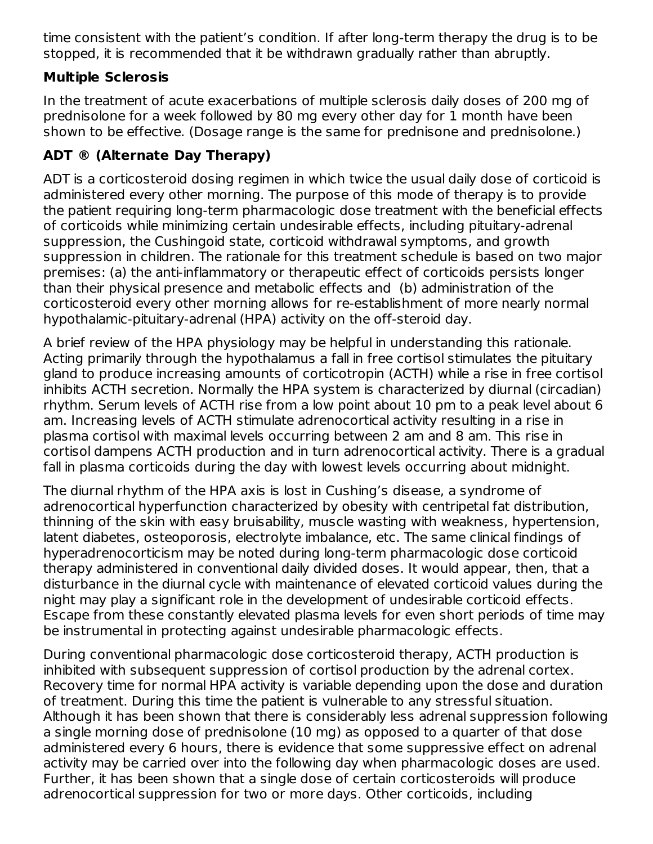time consistent with the patient's condition. If after long-term therapy the drug is to be stopped, it is recommended that it be withdrawn gradually rather than abruptly.

## **Multiple Sclerosis**

In the treatment of acute exacerbations of multiple sclerosis daily doses of 200 mg of prednisolone for a week followed by 80 mg every other day for 1 month have been shown to be effective. (Dosage range is the same for prednisone and prednisolone.)

## **ADT ® (Alternate Day Therapy)**

ADT is a corticosteroid dosing regimen in which twice the usual daily dose of corticoid is administered every other morning. The purpose of this mode of therapy is to provide the patient requiring long-term pharmacologic dose treatment with the beneficial effects of corticoids while minimizing certain undesirable effects, including pituitary-adrenal suppression, the Cushingoid state, corticoid withdrawal symptoms, and growth suppression in children. The rationale for this treatment schedule is based on two major premises: (a) the anti-inflammatory or therapeutic effect of corticoids persists longer than their physical presence and metabolic effects and (b) administration of the corticosteroid every other morning allows for re-establishment of more nearly normal hypothalamic-pituitary-adrenal (HPA) activity on the off-steroid day.

A brief review of the HPA physiology may be helpful in understanding this rationale. Acting primarily through the hypothalamus a fall in free cortisol stimulates the pituitary gland to produce increasing amounts of corticotropin (ACTH) while a rise in free cortisol inhibits ACTH secretion. Normally the HPA system is characterized by diurnal (circadian) rhythm. Serum levels of ACTH rise from a low point about 10 pm to a peak level about 6 am. Increasing levels of ACTH stimulate adrenocortical activity resulting in a rise in plasma cortisol with maximal levels occurring between 2 am and 8 am. This rise in cortisol dampens ACTH production and in turn adrenocortical activity. There is a gradual fall in plasma corticoids during the day with lowest levels occurring about midnight.

The diurnal rhythm of the HPA axis is lost in Cushing's disease, a syndrome of adrenocortical hyperfunction characterized by obesity with centripetal fat distribution, thinning of the skin with easy bruisability, muscle wasting with weakness, hypertension, latent diabetes, osteoporosis, electrolyte imbalance, etc. The same clinical findings of hyperadrenocorticism may be noted during long-term pharmacologic dose corticoid therapy administered in conventional daily divided doses. It would appear, then, that a disturbance in the diurnal cycle with maintenance of elevated corticoid values during the night may play a significant role in the development of undesirable corticoid effects. Escape from these constantly elevated plasma levels for even short periods of time may be instrumental in protecting against undesirable pharmacologic effects.

During conventional pharmacologic dose corticosteroid therapy, ACTH production is inhibited with subsequent suppression of cortisol production by the adrenal cortex. Recovery time for normal HPA activity is variable depending upon the dose and duration of treatment. During this time the patient is vulnerable to any stressful situation. Although it has been shown that there is considerably less adrenal suppression following a single morning dose of prednisolone (10 mg) as opposed to a quarter of that dose administered every 6 hours, there is evidence that some suppressive effect on adrenal activity may be carried over into the following day when pharmacologic doses are used. Further, it has been shown that a single dose of certain corticosteroids will produce adrenocortical suppression for two or more days. Other corticoids, including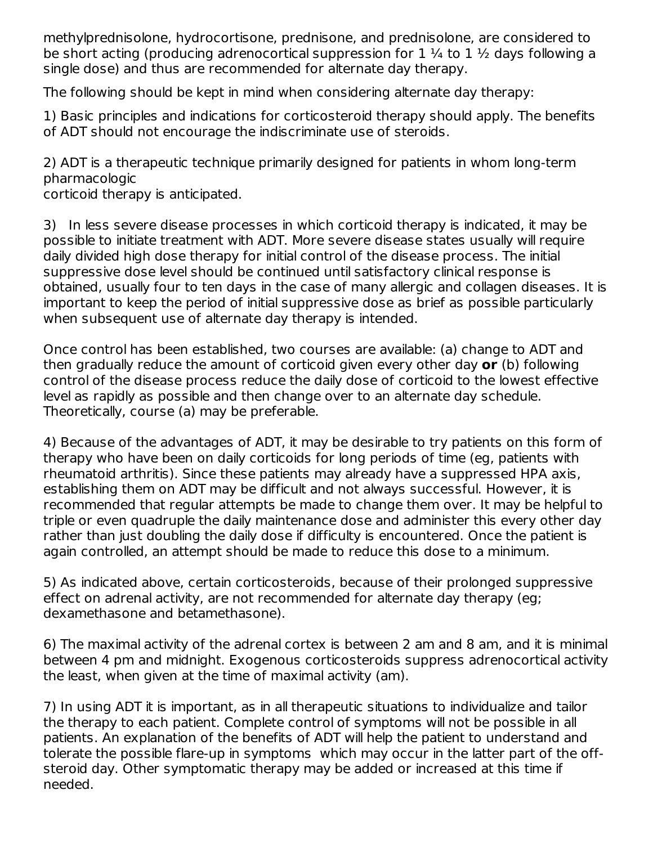methylprednisolone, hydrocortisone, prednisone, and prednisolone, are considered to be short acting (producing adrenocortical suppression for  $1\frac{1}{4}$  to  $1\frac{1}{2}$  days following a single dose) and thus are recommended for alternate day therapy.

The following should be kept in mind when considering alternate day therapy:

1) Basic principles and indications for corticosteroid therapy should apply. The benefits of ADT should not encourage the indiscriminate use of steroids.

2) ADT is a therapeutic technique primarily designed for patients in whom long-term pharmacologic

corticoid therapy is anticipated.

3) In less severe disease processes in which corticoid therapy is indicated, it may be possible to initiate treatment with ADT. More severe disease states usually will require daily divided high dose therapy for initial control of the disease process. The initial suppressive dose level should be continued until satisfactory clinical response is obtained, usually four to ten days in the case of many allergic and collagen diseases. It is important to keep the period of initial suppressive dose as brief as possible particularly when subsequent use of alternate day therapy is intended.

Once control has been established, two courses are available: (a) change to ADT and then gradually reduce the amount of corticoid given every other day **or** (b) following control of the disease process reduce the daily dose of corticoid to the lowest effective level as rapidly as possible and then change over to an alternate day schedule. Theoretically, course (a) may be preferable.

4) Because of the advantages of ADT, it may be desirable to try patients on this form of therapy who have been on daily corticoids for long periods of time (eg, patients with rheumatoid arthritis). Since these patients may already have a suppressed HPA axis, establishing them on ADT may be difficult and not always successful. However, it is recommended that regular attempts be made to change them over. It may be helpful to triple or even quadruple the daily maintenance dose and administer this every other day rather than just doubling the daily dose if difficulty is encountered. Once the patient is again controlled, an attempt should be made to reduce this dose to a minimum.

5) As indicated above, certain corticosteroids, because of their prolonged suppressive effect on adrenal activity, are not recommended for alternate day therapy (eg; dexamethasone and betamethasone).

6) The maximal activity of the adrenal cortex is between 2 am and 8 am, and it is minimal between 4 pm and midnight. Exogenous corticosteroids suppress adrenocortical activity the least, when given at the time of maximal activity (am).

7) In using ADT it is important, as in all therapeutic situations to individualize and tailor the therapy to each patient. Complete control of symptoms will not be possible in all patients. An explanation of the benefits of ADT will help the patient to understand and tolerate the possible flare-up in symptoms which may occur in the latter part of the offsteroid day. Other symptomatic therapy may be added or increased at this time if needed.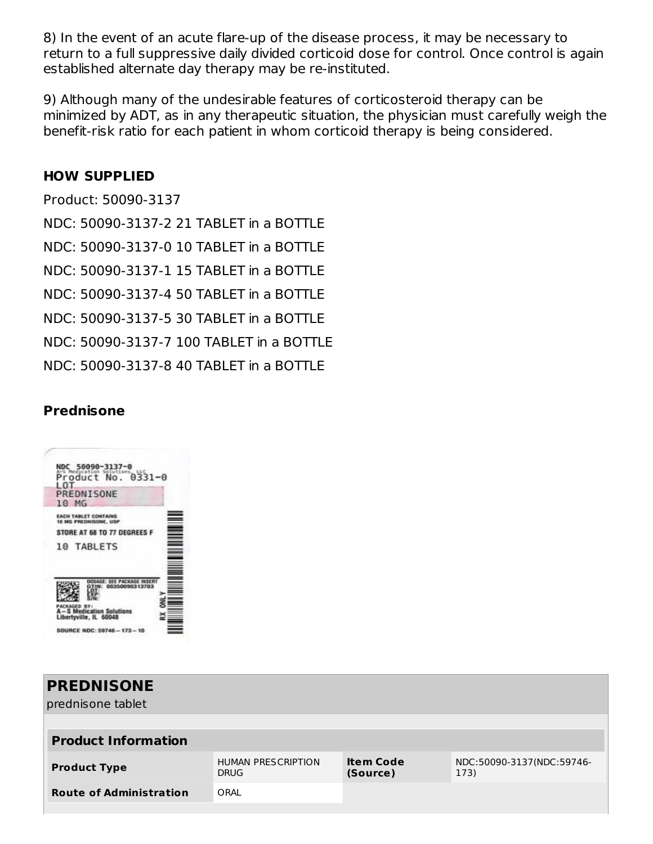8) In the event of an acute flare-up of the disease process, it may be necessary to return to a full suppressive daily divided corticoid dose for control. Once control is again established alternate day therapy may be re-instituted.

9) Although many of the undesirable features of corticosteroid therapy can be minimized by ADT, as in any therapeutic situation, the physician must carefully weigh the benefit-risk ratio for each patient in whom corticoid therapy is being considered.

### **HOW SUPPLIED**

Product: 50090-3137 NDC: 50090-3137-2 21 TABLET in a BOTTLE NDC: 50090-3137-0 10 TABLET in a BOTTLE NDC: 50090-3137-1 15 TABLET in a BOTTLE NDC: 50090-3137-4 50 TABLET in a BOTTLE NDC: 50090-3137-5 30 TABLET in a BOTTLE NDC: 50090-3137-7 100 TABLET in a BOTTLE NDC: 50090-3137-8 40 TABLET in a BOTTLE

### **Prednisone**



| <b>PREDNISONE</b><br>prednisone tablet |                                          |                              |                                   |
|----------------------------------------|------------------------------------------|------------------------------|-----------------------------------|
| <b>Product Information</b>             |                                          |                              |                                   |
| <b>Product Type</b>                    | <b>HUMAN PRESCRIPTION</b><br><b>DRUG</b> | <b>Item Code</b><br>(Source) | NDC:50090-3137(NDC:59746-<br>173) |
| <b>Route of Administration</b>         | ORAL                                     |                              |                                   |
|                                        |                                          |                              |                                   |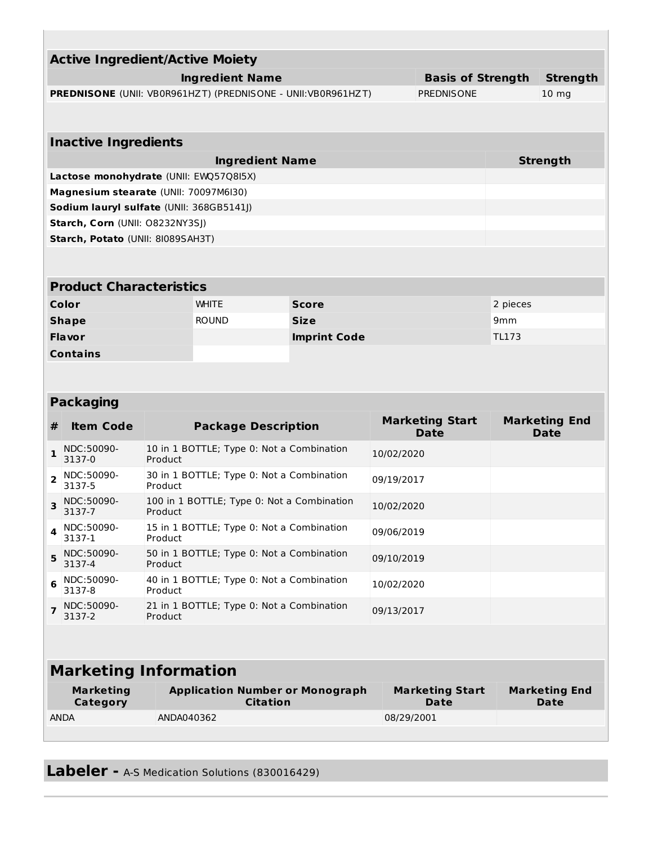|                                                               | <b>Active Ingredient/Active Moiety</b>   |                                                      |                                                           |                     |                          |                                       |                  |                                     |  |
|---------------------------------------------------------------|------------------------------------------|------------------------------------------------------|-----------------------------------------------------------|---------------------|--------------------------|---------------------------------------|------------------|-------------------------------------|--|
| <b>Ingredient Name</b>                                        |                                          |                                                      |                                                           |                     | <b>Basis of Strength</b> |                                       |                  | <b>Strength</b>                     |  |
| PREDNISONE (UNII: VB0R961HZT) (PREDNISONE - UNII: VB0R961HZT) |                                          |                                                      |                                                           |                     | <b>PREDNISONE</b>        |                                       | 10 <sub>mg</sub> |                                     |  |
|                                                               |                                          |                                                      |                                                           |                     |                          |                                       |                  |                                     |  |
| <b>Inactive Ingredients</b>                                   |                                          |                                                      |                                                           |                     |                          |                                       |                  |                                     |  |
|                                                               |                                          |                                                      | <b>Ingredient Name</b>                                    |                     |                          |                                       |                  | <b>Strength</b>                     |  |
|                                                               | Lactose monohydrate (UNII: EWQ57Q8I5X)   |                                                      |                                                           |                     |                          |                                       |                  |                                     |  |
|                                                               | Magnesium stearate (UNII: 70097M6I30)    |                                                      |                                                           |                     |                          |                                       |                  |                                     |  |
|                                                               | Sodium lauryl sulfate (UNII: 368GB5141J) |                                                      |                                                           |                     |                          |                                       |                  |                                     |  |
|                                                               | Starch, Corn (UNII: 08232NY3SJ)          |                                                      |                                                           |                     |                          |                                       |                  |                                     |  |
|                                                               | Starch, Potato (UNII: 81089SAH3T)        |                                                      |                                                           |                     |                          |                                       |                  |                                     |  |
|                                                               |                                          |                                                      |                                                           |                     |                          |                                       |                  |                                     |  |
|                                                               | <b>Product Characteristics</b>           |                                                      |                                                           |                     |                          |                                       |                  |                                     |  |
| Color                                                         |                                          |                                                      | <b>WHITE</b>                                              | <b>Score</b>        |                          |                                       | 2 pieces         |                                     |  |
| <b>Shape</b>                                                  |                                          |                                                      | <b>ROUND</b>                                              | <b>Size</b>         |                          |                                       | 9 <sub>mm</sub>  |                                     |  |
|                                                               | Flavor                                   |                                                      |                                                           | <b>Imprint Code</b> |                          |                                       | <b>TL173</b>     |                                     |  |
|                                                               | <b>Contains</b>                          |                                                      |                                                           |                     |                          |                                       |                  |                                     |  |
|                                                               |                                          |                                                      |                                                           |                     |                          |                                       |                  |                                     |  |
| <b>Packaging</b>                                              |                                          |                                                      |                                                           |                     |                          |                                       |                  |                                     |  |
| #                                                             | <b>Item Code</b>                         |                                                      | <b>Package Description</b>                                |                     |                          | <b>Marketing Start</b><br><b>Date</b> |                  | <b>Marketing End</b><br><b>Date</b> |  |
| $\mathbf{1}$                                                  | NDC:50090-<br>3137-0                     | Product                                              | 10 in 1 BOTTLE; Type 0: Not a Combination                 |                     | 10/02/2020               |                                       |                  |                                     |  |
| $\overline{2}$                                                | NDC:50090-<br>3137-5                     | Product                                              | 30 in 1 BOTTLE; Type 0: Not a Combination                 |                     | 09/19/2017               |                                       |                  |                                     |  |
| 3                                                             | NDC:50090-<br>3137-7                     | Product                                              | 100 in 1 BOTTLE; Type 0: Not a Combination                |                     | 10/02/2020               |                                       |                  |                                     |  |
| 4                                                             | NDC:50090-<br>3137-1                     | Product                                              | 15 in 1 BOTTLE; Type 0: Not a Combination                 |                     | 09/06/2019               |                                       |                  |                                     |  |
| 5                                                             | NDC:50090-<br>3137-4                     | Product                                              | 50 in 1 BOTTLE; Type 0: Not a Combination                 |                     | 09/10/2019               |                                       |                  |                                     |  |
| 6                                                             | NDC:50090-<br>3137-8                     | Product                                              | 40 in 1 BOTTLE; Type 0: Not a Combination                 | 10/02/2020          |                          |                                       |                  |                                     |  |
| $\overline{ }$                                                | NDC:50090-<br>3137-2                     | 21 in 1 BOTTLE; Type 0: Not a Combination<br>Product |                                                           |                     | 09/13/2017               |                                       |                  |                                     |  |
|                                                               |                                          |                                                      |                                                           |                     |                          |                                       |                  |                                     |  |
| <b>Marketing Information</b>                                  |                                          |                                                      |                                                           |                     |                          |                                       |                  |                                     |  |
|                                                               | <b>Marketing</b><br><b>Category</b>      |                                                      | <b>Application Number or Monograph</b><br><b>Citation</b> |                     |                          | <b>Marketing Start</b><br><b>Date</b> |                  | <b>Marketing End</b><br><b>Date</b> |  |
|                                                               | <b>ANDA</b>                              | ANDA040362                                           |                                                           |                     | 08/29/2001               |                                       |                  |                                     |  |

**Labeler -** A-S Medication Solutions (830016429)